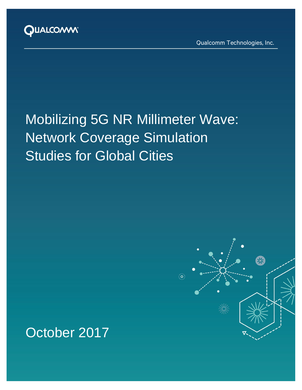

Qualcomm Technologies, Inc.

等

# Mobilizing 5G NR Millimeter Wave: Network Coverage Simulation Studies for Global Cities

့္ပ

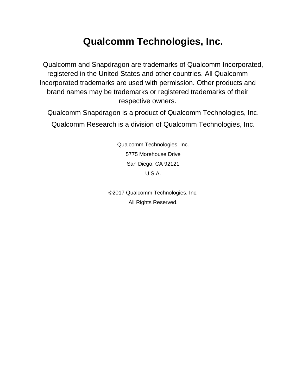# **Qualcomm Technologies, Inc.**

Qualcomm and Snapdragon are trademarks of Qualcomm Incorporated, registered in the United States and other countries. All Qualcomm Incorporated trademarks are used with permission. Other products and brand names may be trademarks or registered trademarks of their respective owners.

Qualcomm Snapdragon is a product of Qualcomm Technologies, Inc. Qualcomm Research is a division of Qualcomm Technologies, Inc.

> Qualcomm Technologies, Inc. 5775 Morehouse Drive San Diego, CA 92121 U.S.A.

©2017 Qualcomm Technologies, Inc. All Rights Reserved.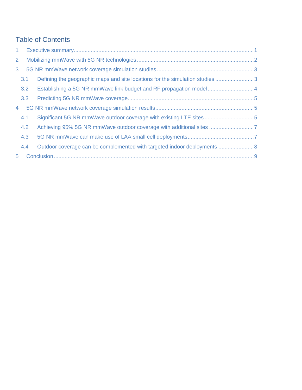# Table of Contents

| 1 <sup>1</sup> |     |                                                                              |  |
|----------------|-----|------------------------------------------------------------------------------|--|
| $\overline{2}$ |     |                                                                              |  |
| 3 <sup>1</sup> |     |                                                                              |  |
|                | 3.1 | Defining the geographic maps and site locations for the simulation studies 3 |  |
|                | 3.2 | Establishing a 5G NR mmWave link budget and RF propagation model4            |  |
|                | 3.3 |                                                                              |  |
| 4              |     |                                                                              |  |
|                | 4.1 | Significant 5G NR mmWave outdoor coverage with existing LTE sites 5          |  |
|                | 4.2 |                                                                              |  |
|                | 4.3 |                                                                              |  |
|                | 4.4 |                                                                              |  |
| 5 <sup>1</sup> |     |                                                                              |  |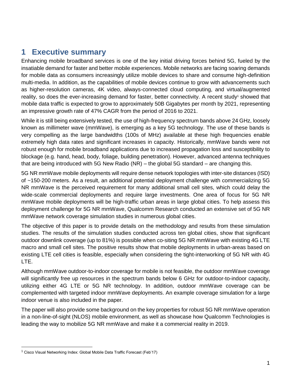# <span id="page-3-0"></span>**1 Executive summary**

Enhancing mobile broadband services is one of the key initial driving forces behind 5G, fueled by the insatiable demand for faster and better mobile experiences. Mobile networks are facing soaring demands for mobile data as consumers increasingly utilize mobile devices to share and consume high-definition multi-media. In addition, as the capabilities of mobile devices continue to grow with advancements such as higher-resolution cameras, 4K video, always-connected cloud computing, and virtual/augmented reality, so does the ever-increasing demand for faster, better connectivity. A recent study<sup>1</sup> showed that mobile data traffic is expected to grow to approximately 50B Gigabytes per month by 2021, representing an impressive growth rate of 47% CAGR from the period of 2016 to 2021.

While it is still being extensively tested, the use of high-frequency spectrum bands above 24 GHz, loosely known as millimeter wave (mmWave), is emerging as a key 5G technology. The use of these bands is very compelling as the large bandwidths (100s of MHz) available at these high frequencies enable extremely high data rates and significant increases in capacity. Historically, mmWave bands were not robust enough for mobile broadband applications due to increased propagation loss and susceptibility to blockage (e.g. hand, head, body, foliage, building penetration). However, advanced antenna techniques that are being introduced with 5G New Radio (NR) – the global 5G standard – are changing this.

5G NR mmWave mobile deployments will require dense network topologies with inter-site distances (ISD) of ~150-200 meters. As a result, an additional potential deployment challenge with commercializing 5G NR mmWave is the perceived requirement for many additional small cell sites, which could delay the wide-scale commercial deployments and require large investments. One area of focus for 5G NR mmWave mobile deployments will be high-traffic urban areas in large global cities. To help assess this deployment challenge for 5G NR mmWave, Qualcomm Research conducted an extensive set of 5G NR mmWave network coverage simulation studies in numerous global cities.

The objective of this paper is to provide details on the methodology and results from these simulation studies. The results of the simulation studies conducted across ten global cities, show that significant outdoor downlink coverage (up to 81%) is possible when co-siting 5G NR mmWave with existing 4G LTE macro and small cell sites. The positive results show that mobile deployments in urban-areas based on existing LTE cell cities is feasible, especially when considering the tight-interworking of 5G NR with 4G LTE.

Although mmWave outdoor-to-indoor coverage for mobile is not feasible, the outdoor mmWave coverage will significantly free up resources in the spectrum bands below 6 GHz for outdoor-to-indoor capacity, utilizing either 4G LTE or 5G NR technology. In addition, outdoor mmWave coverage can be complemented with targeted indoor mmWave deployments. An example coverage simulation for a large indoor venue is also included in the paper.

The paper will also provide some background on the key properties for robust 5G NR mmWave operation in a non-line-of-sight (NLOS) mobile environment, as well as showcase how Qualcomm Technologies is leading the way to mobilize 5G NR mmWave and make it a commercial reality in 2019.

<sup>&</sup>lt;sup>1</sup> Cisco Visual Networking Index: Global Mobile Data Traffic Forecast (Feb'17)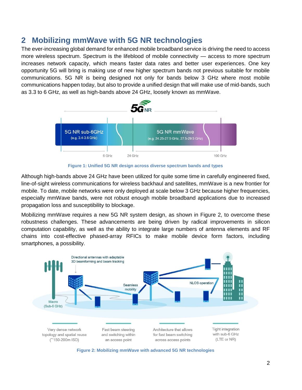# <span id="page-4-0"></span>**2 Mobilizing mmWave with 5G NR technologies**

The ever-increasing global demand for enhanced mobile broadband service is driving the need to access more wireless spectrum. Spectrum is the lifeblood of mobile connectivity — access to more spectrum increases network capacity, which means faster data rates and better user experiences. One key opportunity 5G will bring is making use of new higher spectrum bands not previous suitable for mobile communications. 5G NR is being designed not only for bands below 3 GHz where most mobile communications happen today, but also to provide a unified design that will make use of mid-bands, such as 3.3 to 6 GHz, as well as high-bands above 24 GHz, loosely known as mmWave.



**Figure 1: Unified 5G NR design across diverse spectrum bands and types**

Although high-bands above 24 GHz have been utilized for quite some time in carefully engineered fixed, line-of-sight wireless communications for wireless backhaul and satellites, mmWave is a new frontier for mobile. To date, mobile networks were only deployed at scale below 3 GHz because higher frequencies, especially mmWave bands, were not robust enough mobile broadband applications due to increased propagation loss and susceptibility to blockage.

Mobilizing mmWave requires a new 5G NR system design, as shown in Figure 2, to overcome these robustness challenges. These advancements are being driven by radical improvements in silicon computation capability, as well as the ability to integrate large numbers of antenna elements and RF chains into cost-effective phased-array RFICs to make mobile device form factors, including smartphones, a possibility.



**Figure 2: Mobilizing mmWave with advanced 5G NR technologies**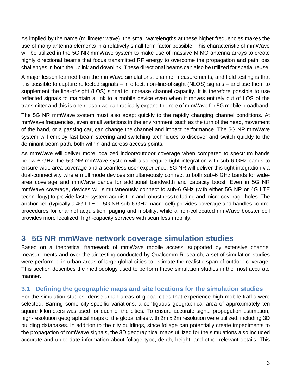As implied by the name (millimeter wave), the small wavelengths at these higher frequencies makes the use of many antenna elements in a relatively small form factor possible. This characteristic of mmWave will be utilized in the 5G NR mmWave system to make use of massive MIMO antenna arrays to create highly directional beams that focus transmitted RF energy to overcome the propagation and path loss challenges in both the uplink and downlink. These directional beams can also be utilized for spatial reuse.

A major lesson learned from the mmWave simulations, channel measurements, and field testing is that it is possible to capture reflected signals – in effect, non-line-of-sight (NLOS) signals – and use them to supplement the line-of-sight (LOS) signal to increase channel capacity. It is therefore possible to use reflected signals to maintain a link to a mobile device even when it moves entirely out of LOS of the transmitter and this is one reason we can radically expand the role of mmWave for 5G mobile broadband.

The 5G NR mmWave system must also adapt quickly to the rapidly changing channel conditions. At mmWave frequencies, even small variations in the environment, such as the turn of the head, movement of the hand, or a passing car, can change the channel and impact performance. The 5G NR mmWave system will employ fast beam steering and switching techniques to discover and switch quickly to the dominant beam path, both within and across access points.

As mmWave will deliver more localized indoor/outdoor coverage when compared to spectrum bands below 6 GHz, the 5G NR mmWave system will also require tight integration with sub-6 GHz bands to ensure wide area coverage and a seamless user experience. 5G NR will deliver this tight integration via dual-connectivity where multimode devices simultaneously connect to both sub-6 GHz bands for widearea coverage and mmWave bands for additional bandwidth and capacity boost. Even in 5G NR mmWave coverage, devices will simultaneously connect to sub-6 GHz (with either 5G NR or 4G LTE technology) to provide faster system acquisition and robustness to fading and micro coverage holes. The anchor cell (typically a 4G LTE or 5G NR sub-6 GHz macro cell) provides coverage and handles control procedures for channel acquisition, paging and mobility, while a non-collocated mmWave booster cell provides more localized, high-capacity services with seamless mobility.

### <span id="page-5-0"></span>**3 5G NR mmWave network coverage simulation studies**

Based on a theoretical framework of mmWave mobile access, supported by extensive channel measurements and over-the-air testing conducted by Qualcomm Research, a set of simulation studies were performed in urban areas of large global cities to estimate the realistic span of outdoor coverage. This section describes the methodology used to perform these simulation studies in the most accurate manner.

#### <span id="page-5-1"></span>**3.1 Defining the geographic maps and site locations for the simulation studies**

For the simulation studies, dense urban areas of global cities that experience high mobile traffic were selected. Barring some city-specific variations, a contiguous geographical area of approximately ten square kilometers was used for each of the cities. To ensure accurate signal propagation estimation, high-resolution geographical maps of the global cities with 2m x 2m resolution were utilized, including 3D building databases. In addition to the city buildings, since foliage can potentially create impediments to the propagation of mmWave signals, the 3D geographical maps utilized for the simulations also included accurate and up-to-date information about foliage type, depth, height, and other relevant details. This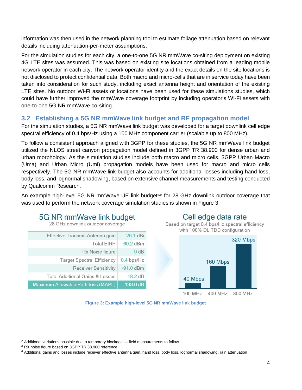information was then used in the network planning tool to estimate foliage attenuation based on relevant details including attenuation-per-meter assumptions.

For the simulation studies for each city, a one-to-one 5G NR mmWave co-siting deployment on existing 4G LTE sites was assumed. This was based on existing site locations obtained from a leading mobile network operator in each city. The network operator identity and the exact details on the site locations is not disclosed to protect confidential data. Both macro and micro-cells that are in service today have been taken into consideration for such study, including exact antenna height and orientation of the existing LTE sites. No outdoor Wi-Fi assets or locations have been used for these simulations studies, which could have further improved the mmWave coverage footprint by including operator's Wi-Fi assets with one-to-one 5G NR mmWave co-siting.

#### <span id="page-6-0"></span>**3.2 Establishing a 5G NR mmWave link budget and RF propagation model**

For the simulation studies, a 5G NR mmWave link budget was developed for a target downlink cell edge spectral efficiency of 0.4 bps/Hz using a 100 MHz component carrier (scalable up to 800 MHz).

To follow a consistent approach aligned with 3GPP for these studies, the 5G NR mmWave link budget utilized the NLOS street canyon propagation model defined in 3GPP TR 38.900 for dense urban and urban morphology. As the simulation studies include both macro and micro cells, 3GPP Urban Macro (Uma) and Urban Micro (Umi) propagation models have been used for macro and micro cells respectively. The 5G NR mmWave link budget also accounts for additional losses including hand loss, body loss, and lognormal shadowing, based on extensive channel measurements and testing conducted by Qualcomm Research.

An example high-level 5G NR mmWave UE link budget<sup>234</sup> for 28 GHz downlink outdoor coverage that was used to perform the network coverage simulation studies is shown in Figure 3.

# 5G NR mmWave link budget

28 GHz downlink outdoor coverage

| Effective Transmit Antenna gain    | 26.1 dBi          |
|------------------------------------|-------------------|
| <b>Total EIRP</b>                  | 60.2 dBm          |
| Rx Noise figure                    | 9 dB              |
| <b>Target Spectral Efficiency</b>  | $0.4$ bps/Hz      |
| <b>Receiver Sensitivity</b>        | $-91.0$ dBm       |
| Total Additional Gains & Losses    | $18.2 \text{ dB}$ |
| Maximum Allowable Path-loss (MAPL) | 133.0 dB          |

### Cell edge data rate

Based on target 0.4 bps/Hz spectral efficiency with 100% DL TDD configuration



**Figure 3: Example high-level 5G NR mmWave link budget**

 $2$  Additional variations possible due to temporary blockage  $-$  field measurements to follow

<sup>3</sup> RX noise figure based on 3GPP TR 38.900 reference

<sup>4</sup> Additional gains and losses include receiver effective antenna gain, hand loss, body loss, lognormal shadowing, rain attenuation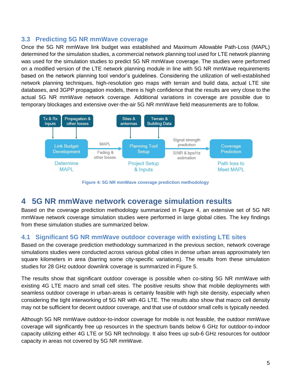#### <span id="page-7-0"></span>**3.3 Predicting 5G NR mmWave coverage**

Once the 5G NR mmWave link budget was established and Maximum Allowable Path-Loss (MAPL) determined for the simulation studies, a commercial network planning tool used for LTE network planning was used for the simulation studies to predict 5G NR mmWave coverage. The studies were performed on a modified version of the LTE network planning module in line with 5G NR mmWave requirements based on the network planning tool vendor's guidelines. Considering the utilization of well-established network planning techniques, high-resolution geo maps with terrain and build data, actual LTE site databases, and 3GPP propagation models, there is high confidence that the results are very close to the actual 5G NR mmWave network coverage. Additional variations in coverage are possible due to temporary blockages and extensive over-the-air 5G NR mmWave field measurements are to follow.



**Figure 4: 5G NR mmWave coverage prediction methodology**

# <span id="page-7-1"></span>**4 5G NR mmWave network coverage simulation results**

Based on the coverage prediction methodology summarized in Figure 4, an extensive set of 5G NR mmWave network coverage simulation studies were performed in large global cities. The key findings from these simulation studies are summarized below.

#### <span id="page-7-2"></span>**4.1 Significant 5G NR mmWave outdoor coverage with existing LTE sites**

Based on the coverage prediction methodology summarized in the previous section, network coverage simulations studies were conducted across various global cities in dense urban areas approximately ten square kilometers in area (barring some city-specific variations). The results from these simulation studies for 28 GHz outdoor downlink coverage is summarized in Figure 5.

The results show that significant outdoor coverage is possible when co-siting 5G NR mmWave with existing 4G LTE macro and small cell sites. The positive results show that mobile deployments with seamless outdoor coverage in urban-areas is certainly feasible with high site density, especially when considering the tight interworking of 5G NR with 4G LTE. The results also show that macro cell density may not be sufficient for decent outdoor coverage, and that use of outdoor small cells is typically needed.

Although 5G NR mmWave outdoor-to-indoor coverage for mobile is not feasible, the outdoor mmWave coverage will significantly free up resources in the spectrum bands below 6 GHz for outdoor-to-indoor capacity utilizing either 4G LTE or 5G NR technology. It also frees up sub-6 GHz resources for outdoor capacity in areas not covered by 5G NR mmWave.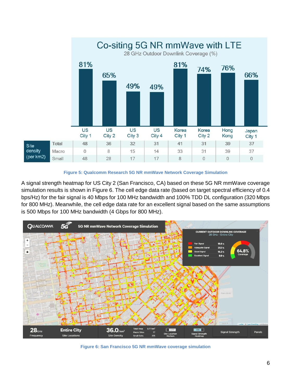

**Figure 5: Qualcomm Research 5G NR mmWave Network Coverage Simulation**

A signal strength heatmap for US City 2 (San Francisco, CA) based on these 5G NR mmWave coverage simulation results is shown in Figure 6. The cell edge data rate (based on target spectral efficiency of 0.4 bps/Hz) for the fair signal is 40 Mbps for 100 MHz bandwidth and 100% TDD DL configuration (320 Mbps for 800 MHz). Meanwhile, the cell edge data rate for an excellent signal based on the same assumptions is 500 Mbps for 100 MHz bandwidth (4 Gbps for 800 MHz).



**Figure 6: San Francisco 5G NR mmWave coverage simulation**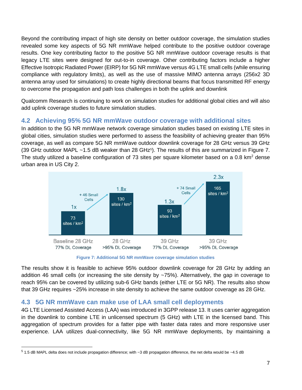Beyond the contributing impact of high site density on better outdoor coverage, the simulation studies revealed some key aspects of 5G NR mmWave helped contribute to the positive outdoor coverage results. One key contributing factor to the positive 5G NR mmWave outdoor coverage results is that legacy LTE sites were designed for out-to-in coverage. Other contributing factors include a higher Effective Isotropic Radiated Power (EIRP) for 5G NR mmWave versus 4G LTE small cells (while ensuring compliance with regulatory limits), as well as the use of massive MIMO antenna arrays (256x2 3D antenna array used for simulations) to create highly directional beams that focus transmitted RF energy to overcome the propagation and path loss challenges in both the uplink and downlink

Qualcomm Research is continuing to work on simulation studies for additional global cities and will also add uplink coverage studies to future simulation studies.

#### <span id="page-9-0"></span>**4.2 Achieving 95% 5G NR mmWave outdoor coverage with additional sites**

In addition to the 5G NR mmWave network coverage simulation studies based on existing LTE sites in global cities, simulation studies were performed to assess the feasibility of achieving greater than 95% coverage, as well as compare 5G NR mmWave outdoor downlink coverage for 28 GHz versus 39 GHz (39 GHz outdoor MAPL  $~1.5$  dB weaker than 28 GHz<sup>5</sup>). The results of this are summarized in Figure 7. The study utilized a baseline configuration of 73 sites per square kilometer based on a 0.8 km<sup>2</sup> dense urban area in US City 2.



**Figure 7: Additional 5G NR mmWave coverage simulation studies**

The results show it is feasible to achieve 95% outdoor downlink coverage for 28 GHz by adding an addition 46 small cells (or increasing the site density by ~75%). Alternatively, the gap in coverage to reach 95% can be covered by utilizing sub-6 GHz bands (either LTE or 5G NR). The results also show that 39 GHz requires ~25% increase in site density to achieve the same outdoor coverage as 28 GHz.

#### <span id="page-9-1"></span>**4.3 5G NR mmWave can make use of LAA small cell deployments**

4G LTE Licensed Assisted Access (LAA) was introduced in 3GPP release 13. It uses carrier aggregation in the downlink to combine LTE in unlicensed spectrum (5 GHz) with LTE in the licensed band. This aggregation of spectrum provides for a fatter pipe with faster data rates and more responsive user experience. LAA utilizes dual-connectivity, like 5G NR mmWave deployments, by maintaining a

 $5$  1.5 dB MAPL delta does not include propagation difference; with  $\sim$ 3 dB propagation difference, the net delta would be  $\sim$ 4.5 dB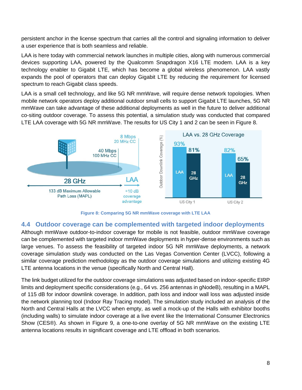persistent anchor in the license spectrum that carries all the control and signaling information to deliver a user experience that is both seamless and reliable.

LAA is here today with commercial network launches in multiple cities, along with numerous commercial devices supporting LAA, powered by the Qualcomm Snapdragon X16 LTE modem. LAA is a key technology enabler to Gigabit LTE, which has become a global wireless phenomenon. LAA vastly expands the pool of operators that can deploy Gigabit LTE by reducing the requirement for licensed spectrum to reach Gigabit class speeds.

LAA is a small cell technology, and like 5G NR mmWave, will require dense network topologies. When mobile network operators deploy additional outdoor small cells to support Gigabit LTE launches, 5G NR mmWave can take advantage of these additional deployments as well in the future to deliver additional co-siting outdoor coverage. To assess this potential, a simulation study was conducted that compared LTE LAA coverage with 5G NR mmWave. The results for US City 1 and 2 can be seen in Figure 8.



**Figure 8: Comparing 5G NR mmWave coverage with LTE LAA**

#### <span id="page-10-0"></span>**4.4 Outdoor coverage can be complemented with targeted indoor deployments**

Although mmWave outdoor-to-indoor coverage for mobile is not feasible, outdoor mmWave coverage can be complemented with targeted indoor mmWave deployments in hyper-dense environments such as large venues. To assess the feasibility of targeted indoor 5G NR mmWave deployments, a network coverage simulation study was conducted on the Las Vegas Convention Center (LVCC), following a similar coverage prediction methodology as the outdoor coverage simulations and utilizing existing 4G LTE antenna locations in the venue (specifically North and Central Hall).

The link budget utilized for the outdoor coverage simulations was adjusted based on indoor-specific EIRP limits and deployment specific considerations (e.g., 64 vs. 256 antennas in gNodeB), resulting in a MAPL of 115 dB for indoor downlink coverage. In addition, path loss and indoor wall loss was adjusted inside the network planning tool (Indoor Ray Tracing model). The simulation study included an analysis of the North and Central Halls at the LVCC when empty, as well a mock-up of the Halls with exhibitor booths (including walls) to simulate indoor coverage at a live event like the International Consumer Electronics Show (CES®). As shown in Figure 9, a one-to-one overlay of 5G NR mmWave on the existing LTE antenna locations results in significant coverage and LTE offload in both scenarios.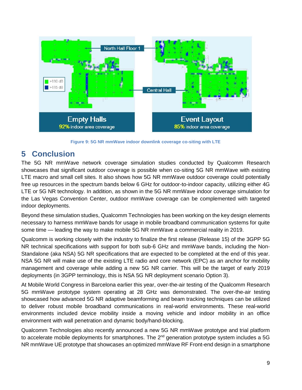

**Figure 9: 5G NR mmWave indoor downlink coverage co-siting with LTE**

# <span id="page-11-0"></span>**5 Conclusion**

The 5G NR mmWave network coverage simulation studies conducted by Qualcomm Research showcases that significant outdoor coverage is possible when co-siting 5G NR mmWave with existing LTE macro and small cell sites. It also shows how 5G NR mmWave outdoor coverage could potentially free up resources in the spectrum bands below 6 GHz for outdoor-to-indoor capacity, utilizing either 4G LTE or 5G NR technology. In addition, as shown in the 5G NR mmWave indoor coverage simulation for the Las Vegas Convention Center, outdoor mmWave coverage can be complemented with targeted indoor deployments.

Beyond these simulation studies, Qualcomm Technologies has been working on the key design elements necessary to harness mmWave bands for usage in mobile broadband communication systems for quite some time — leading the way to make mobile 5G NR mmWave a commercial reality in 2019.

Qualcomm is working closely with the industry to finalize the first release (Release 15) of the 3GPP 5G NR technical specifications with support for both sub-6 GHz and mmWave bands, including the Non-Standalone (aka NSA) 5G NR specifications that are expected to be completed at the end of this year. NSA 5G NR will make use of the existing LTE radio and core network (EPC) as an anchor for mobility management and coverage while adding a new 5G NR carrier. This will be the target of early 2019 deployments (in 3GPP terminology, this is NSA 5G NR deployment scenario Option 3).

At Mobile World Congress in Barcelona earlier this year, over-the-air testing of the Qualcomm Research 5G mmWave prototype system operating at 28 GHz was demonstrated. The over-the-air testing showcased how advanced 5G NR adaptive beamforming and beam tracking techniques can be utilized to deliver robust mobile broadband communications in real-world environments. These real-world environments included device mobility inside a moving vehicle and indoor mobility in an office environment with wall penetration and dynamic body/hand-blocking.

Qualcomm Technologies also recently announced a new 5G NR mmWave prototype and trial platform to accelerate mobile deployments for smartphones. The  $2^{nd}$  generation prototype system includes a 5G NR mmWave UE prototype that showcases an optimized mmWave RF Front-end design in a smartphone